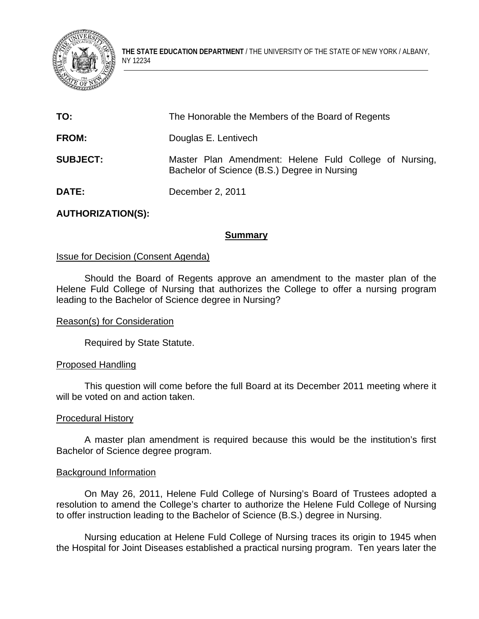

**THE STATE EDUCATION DEPARTMENT** / THE UNIVERSITY OF THE STATE OF NEW YORK / ALBANY, NY 12234

| TO:             | The Honorable the Members of the Board of Regents                                                      |
|-----------------|--------------------------------------------------------------------------------------------------------|
| <b>FROM:</b>    | Douglas E. Lentivech                                                                                   |
| <b>SUBJECT:</b> | Master Plan Amendment: Helene Fuld College of Nursing,<br>Bachelor of Science (B.S.) Degree in Nursing |
| <b>DATE:</b>    | December 2, 2011                                                                                       |

# **AUTHORIZATION(S):**

## **Summary**

## **Issue for Decision (Consent Agenda)**

 Should the Board of Regents approve an amendment to the master plan of the Helene Fuld College of Nursing that authorizes the College to offer a nursing program leading to the Bachelor of Science degree in Nursing?

### Reason(s) for Consideration

Required by State Statute.

### Proposed Handling

This question will come before the full Board at its December 2011 meeting where it will be voted on and action taken.

### Procedural History

 A master plan amendment is required because this would be the institution's first Bachelor of Science degree program.

### Background Information

 On May 26, 2011, Helene Fuld College of Nursing's Board of Trustees adopted a resolution to amend the College's charter to authorize the Helene Fuld College of Nursing to offer instruction leading to the Bachelor of Science (B.S.) degree in Nursing.

 Nursing education at Helene Fuld College of Nursing traces its origin to 1945 when the Hospital for Joint Diseases established a practical nursing program. Ten years later the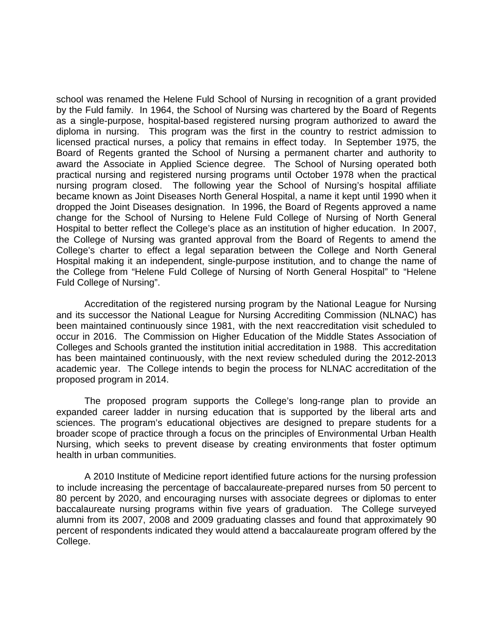school was renamed the Helene Fuld School of Nursing in recognition of a grant provided by the Fuld family. In 1964, the School of Nursing was chartered by the Board of Regents as a single-purpose, hospital-based registered nursing program authorized to award the diploma in nursing. This program was the first in the country to restrict admission to licensed practical nurses, a policy that remains in effect today. In September 1975, the Board of Regents granted the School of Nursing a permanent charter and authority to award the Associate in Applied Science degree. The School of Nursing operated both practical nursing and registered nursing programs until October 1978 when the practical nursing program closed. The following year the School of Nursing's hospital affiliate became known as Joint Diseases North General Hospital, a name it kept until 1990 when it dropped the Joint Diseases designation. In 1996, the Board of Regents approved a name change for the School of Nursing to Helene Fuld College of Nursing of North General Hospital to better reflect the College's place as an institution of higher education. In 2007, the College of Nursing was granted approval from the Board of Regents to amend the College's charter to effect a legal separation between the College and North General Hospital making it an independent, single-purpose institution, and to change the name of the College from "Helene Fuld College of Nursing of North General Hospital" to "Helene Fuld College of Nursing".

 Accreditation of the registered nursing program by the National League for Nursing and its successor the National League for Nursing Accrediting Commission (NLNAC) has been maintained continuously since 1981, with the next reaccreditation visit scheduled to occur in 2016. The Commission on Higher Education of the Middle States Association of Colleges and Schools granted the institution initial accreditation in 1988. This accreditation has been maintained continuously, with the next review scheduled during the 2012-2013 academic year. The College intends to begin the process for NLNAC accreditation of the proposed program in 2014.

 The proposed program supports the College's long-range plan to provide an expanded career ladder in nursing education that is supported by the liberal arts and sciences. The program's educational objectives are designed to prepare students for a broader scope of practice through a focus on the principles of Environmental Urban Health Nursing, which seeks to prevent disease by creating environments that foster optimum health in urban communities.

 A 2010 Institute of Medicine report identified future actions for the nursing profession to include increasing the percentage of baccalaureate-prepared nurses from 50 percent to 80 percent by 2020, and encouraging nurses with associate degrees or diplomas to enter baccalaureate nursing programs within five years of graduation. The College surveyed alumni from its 2007, 2008 and 2009 graduating classes and found that approximately 90 percent of respondents indicated they would attend a baccalaureate program offered by the College.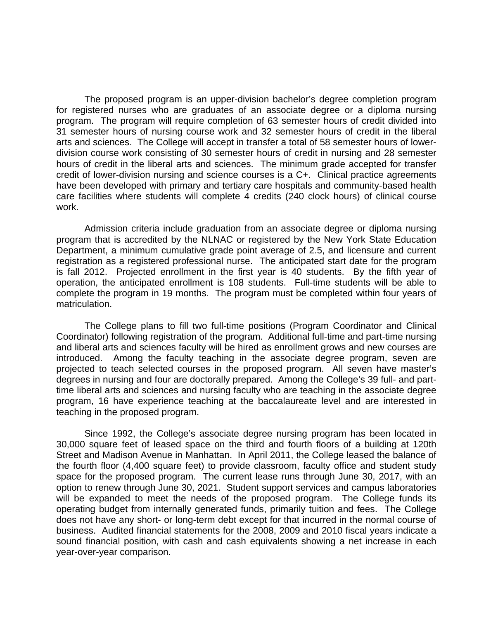The proposed program is an upper-division bachelor's degree completion program for registered nurses who are graduates of an associate degree or a diploma nursing program. The program will require completion of 63 semester hours of credit divided into 31 semester hours of nursing course work and 32 semester hours of credit in the liberal arts and sciences. The College will accept in transfer a total of 58 semester hours of lowerdivision course work consisting of 30 semester hours of credit in nursing and 28 semester hours of credit in the liberal arts and sciences. The minimum grade accepted for transfer credit of lower-division nursing and science courses is a C+. Clinical practice agreements have been developed with primary and tertiary care hospitals and community-based health care facilities where students will complete 4 credits (240 clock hours) of clinical course work.

 Admission criteria include graduation from an associate degree or diploma nursing program that is accredited by the NLNAC or registered by the New York State Education Department, a minimum cumulative grade point average of 2.5, and licensure and current registration as a registered professional nurse. The anticipated start date for the program is fall 2012. Projected enrollment in the first year is 40 students. By the fifth year of operation, the anticipated enrollment is 108 students. Full-time students will be able to complete the program in 19 months. The program must be completed within four years of matriculation.

 The College plans to fill two full-time positions (Program Coordinator and Clinical Coordinator) following registration of the program. Additional full-time and part-time nursing and liberal arts and sciences faculty will be hired as enrollment grows and new courses are introduced. Among the faculty teaching in the associate degree program, seven are projected to teach selected courses in the proposed program. All seven have master's degrees in nursing and four are doctorally prepared. Among the College's 39 full- and parttime liberal arts and sciences and nursing faculty who are teaching in the associate degree program, 16 have experience teaching at the baccalaureate level and are interested in teaching in the proposed program.

 Since 1992, the College's associate degree nursing program has been located in 30,000 square feet of leased space on the third and fourth floors of a building at 120th Street and Madison Avenue in Manhattan. In April 2011, the College leased the balance of the fourth floor (4,400 square feet) to provide classroom, faculty office and student study space for the proposed program. The current lease runs through June 30, 2017, with an option to renew through June 30, 2021. Student support services and campus laboratories will be expanded to meet the needs of the proposed program. The College funds its operating budget from internally generated funds, primarily tuition and fees. The College does not have any short- or long-term debt except for that incurred in the normal course of business. Audited financial statements for the 2008, 2009 and 2010 fiscal years indicate a sound financial position, with cash and cash equivalents showing a net increase in each year-over-year comparison.